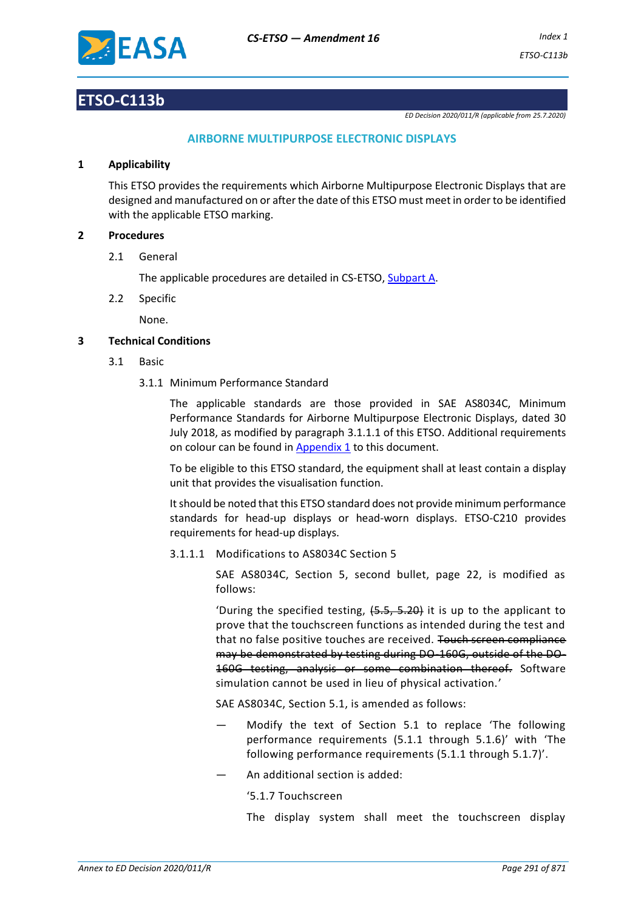

# **ETSO-C113b**

*ED Decision 2020/011/R (applicable from 25.7.2020)*

# **AIRBORNE MULTIPURPOSE ELECTRONIC DISPLAYS**

### **1 Applicability**

This ETSO provides the requirements which Airborne Multipurpose Electronic Displays that are designed and manufactured on or after the date of this ETSO must meet in order to be identified with the applicable ETSO marking.

## **2 Procedures**

2.1 General

The applicable procedures are detailed in CS-ETSO, Subpart A.

2.2 Specific

None.

## **3 Technical Conditions**

- 3.1 Basic
	- 3.1.1 Minimum Performance Standard

The applicable standards are those provided in SAE AS8034C, Minimum Performance Standards for Airborne Multipurpose Electronic Displays, dated 30 July 2018, as modified by paragraph 3.1.1.1 of this ETSO. Additional requirements on colour can be found i[n Appendix 1](#page-2-0) to this document.

To be eligible to this ETSO standard, the equipment shall at least contain a display unit that provides the visualisation function.

It should be noted that this ETSO standard does not provide minimum performance standards for head-up displays or head-worn displays. ETSO-C210 provides requirements for head-up displays.

3.1.1.1 Modifications to AS8034C Section 5

SAE AS8034C, Section 5, second bullet, page 22, is modified as follows:

'During the specified testing, (5.5, 5.20) it is up to the applicant to prove that the touchscreen functions as intended during the test and that no false positive touches are received. Touch screen compliance may be demonstrated by testing during DO-160G, outside of the DO-160G testing, analysis or some combination thereof. Software simulation cannot be used in lieu of physical activation.'

SAE AS8034C, Section 5.1, is amended as follows:

- Modify the text of Section 5.1 to replace 'The following performance requirements (5.1.1 through 5.1.6)' with 'The following performance requirements (5.1.1 through 5.1.7)'.
- An additional section is added:

'5.1.7 Touchscreen

The display system shall meet the touchscreen display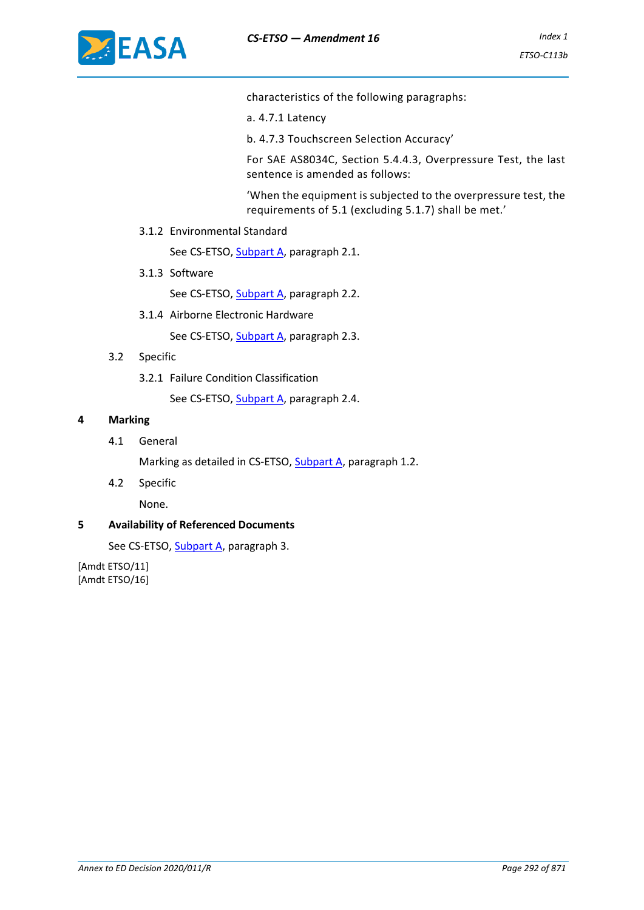

characteristics of the following paragraphs:

- a. 4.7.1 Latency
- b. 4.7.3 Touchscreen Selection Accuracy'

For SAE AS8034C, Section 5.4.4.3, Overpressure Test, the last sentence is amended as follows:

'When the equipment is subjected to the overpressure test, the requirements of 5.1 (excluding 5.1.7) shall be met.'

3.1.2 Environmental Standard

See CS-ETSO, Subpart A, paragraph 2.1.

3.1.3 Software

See CS-ETSO, Subpart A, paragraph 2.2.

3.1.4 Airborne Electronic Hardware

See CS-ETSO, Subpart A, paragraph 2.3.

- 3.2 Specific
	- 3.2.1 Failure Condition Classification

See CS-ETSO, Subpart A, paragraph 2.4.

### **4 Marking**

4.1 General

Marking as detailed in CS-ETSO, Subpart A, paragraph 1.2.

4.2 Specific

None.

#### **5 Availability of Referenced Documents**

See CS-ETSO, Subpart A, paragraph 3.

[Amdt ETSO/11] [Amdt ETSO/16]